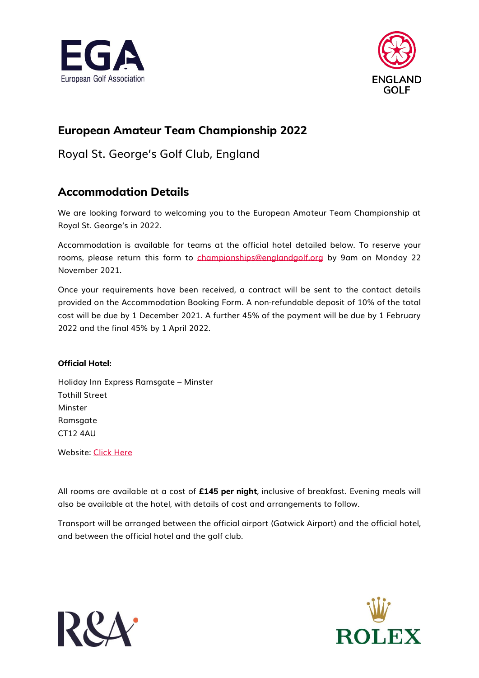



## **European Amateur Team Championship 2022**

Royal St. George's Golf Club, England

## **Accommodation Details**

We are looking forward to welcoming you to the European Amateur Team Championship at Royal St. George's in 2022.

Accommodation is available for teams at the official hotel detailed below. To reserve your rooms, please return this form to [championships@englandgolf.org](mailto:championships@englandgolf.org) by 9am on Monday 22 November 2021.

Once your requirements have been received, a contract will be sent to the contact details provided on the Accommodation Booking Form. A non-refundable deposit of 10% of the total cost will be due by 1 December 2021. A further 45% of the payment will be due by 1 February 2022 and the final 45% by 1 April 2022.

#### **Official Hotel:**

Holiday Inn Express Ramsgate – Minster Tothill Street Minster Ramsaate CT12 4AU

Website: [Click Here](https://www.ihg.com/holidayinnexpress/hotels/gb/en/ramsgate/kenmi/hoteldetail)

All rooms are available at a cost of **£145 per night**, inclusive of breakfast. Evening meals will also be available at the hotel, with details of cost and arrangements to follow.

Transport will be arranged between the official airport (Gatwick Airport) and the official hotel, and between the official hotel and the golf club.